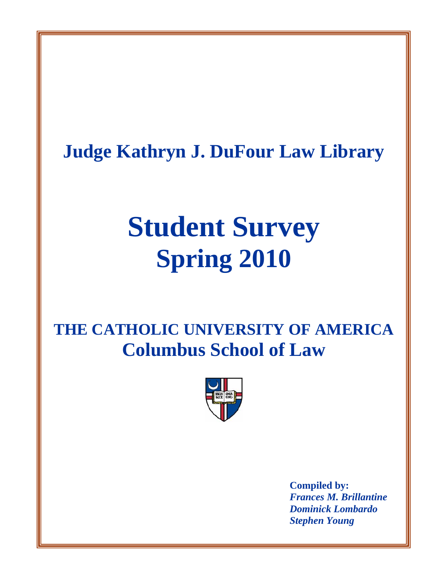**Judge Kathryn J. DuFour Law Library**

# **Student Survey Spring 2010**

**THE CATHOLIC UNIVERSITY OF AMERICA Columbus School of Law** 



**Compiled by:**  *Frances M. Brillantine Dominick Lombardo Stephen Young*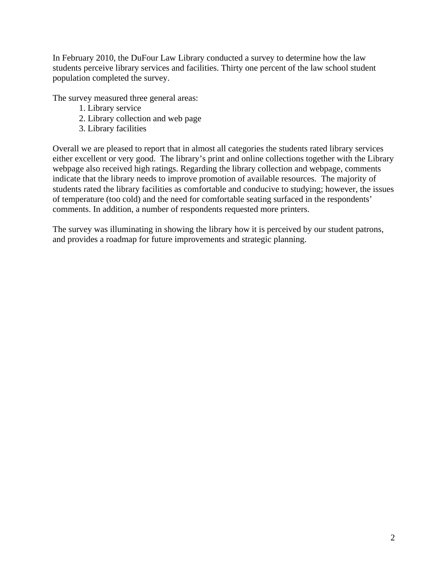In February 2010, the DuFour Law Library conducted a survey to determine how the law students perceive library services and facilities. Thirty one percent of the law school student population completed the survey.

The survey measured three general areas:

- 1. Library service
- 2. Library collection and web page
- 3. Library facilities

Overall we are pleased to report that in almost all categories the students rated library services either excellent or very good. The library's print and online collections together with the Library webpage also received high ratings. Regarding the library collection and webpage, comments indicate that the library needs to improve promotion of available resources. The majority of students rated the library facilities as comfortable and conducive to studying; however, the issues of temperature (too cold) and the need for comfortable seating surfaced in the respondents' comments. In addition, a number of respondents requested more printers.

The survey was illuminating in showing the library how it is perceived by our student patrons, and provides a roadmap for future improvements and strategic planning.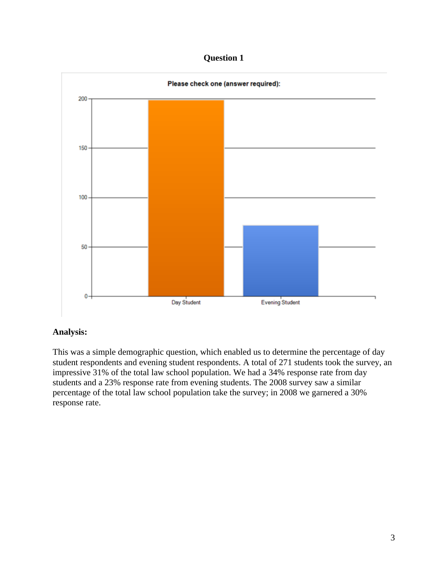

## **Analysis:**

This was a simple demographic question, which enabled us to determine the percentage of day student respondents and evening student respondents. A total of 271 students took the survey, an impressive 31% of the total law school population. We had a 34% response rate from day students and a 23% response rate from evening students. The 2008 survey saw a similar percentage of the total law school population take the survey; in 2008 we garnered a 30% response rate.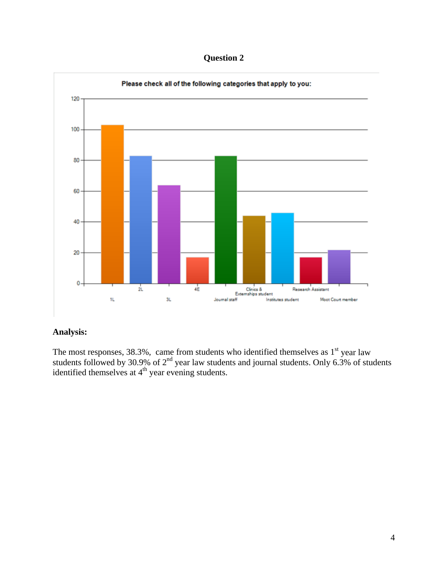**Question 2** 



The most responses, 38.3%, came from students who identified themselves as  $1<sup>st</sup>$  year law students followed by 30.9% of  $2<sup>nd</sup>$  year law students and journal students. Only 6.3% of students identified themselves at  $4<sup>th</sup>$  year evening students.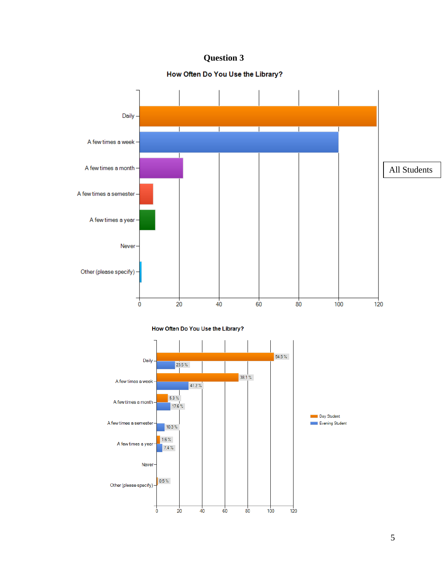# How Often Do You Use the Library?

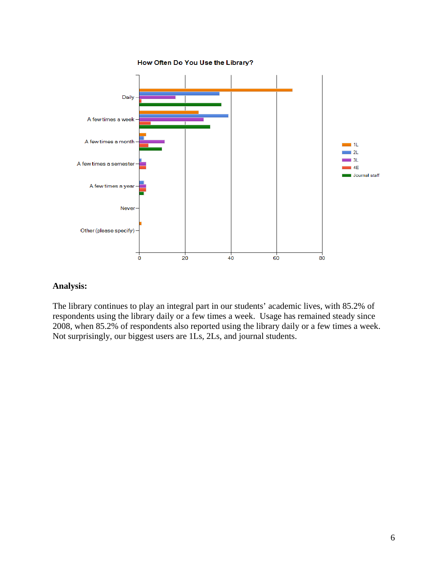

The library continues to play an integral part in our students' academic lives, with 85.2% of respondents using the library daily or a few times a week. Usage has remained steady since 2008, when 85.2% of respondents also reported using the library daily or a few times a week. Not surprisingly, our biggest users are 1Ls, 2Ls, and journal students.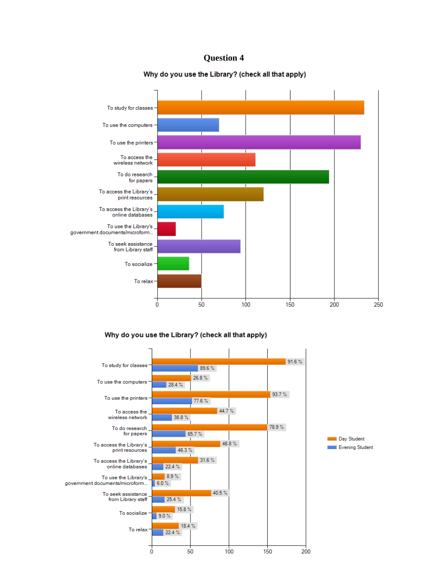#### Why do you use the Library? (check all that apply)



Why do you use the Library? (check all that apply)

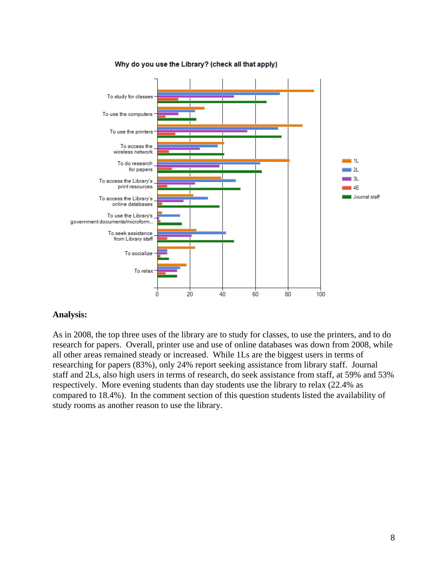

#### Why do you use the Library? (check all that apply)

### **Analysis:**

As in 2008, the top three uses of the library are to study for classes, to use the printers, and to do research for papers. Overall, printer use and use of online databases was down from 2008, while all other areas remained steady or increased. While 1Ls are the biggest users in terms of researching for papers (83%), only 24% report seeking assistance from library staff. Journal staff and 2Ls, also high users in terms of research, do seek assistance from staff, at 59% and 53% respectively. More evening students than day students use the library to relax (22.4% as compared to 18.4%). In the comment section of this question students listed the availability of study rooms as another reason to use the library.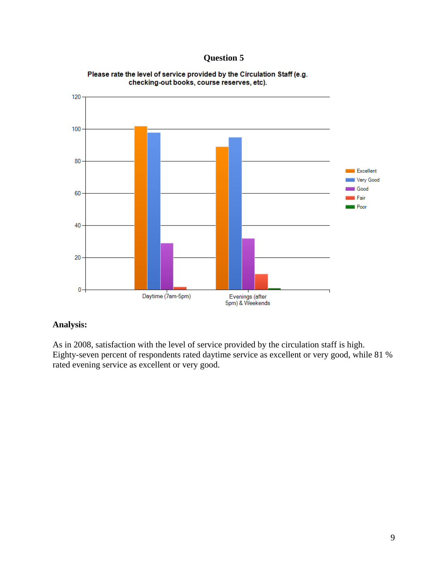

#### Please rate the level of service provided by the Circulation Staff (e.g. checking-out books, course reserves, etc).

# **Analysis:**

As in 2008, satisfaction with the level of service provided by the circulation staff is high. Eighty-seven percent of respondents rated daytime service as excellent or very good, while 81 % rated evening service as excellent or very good.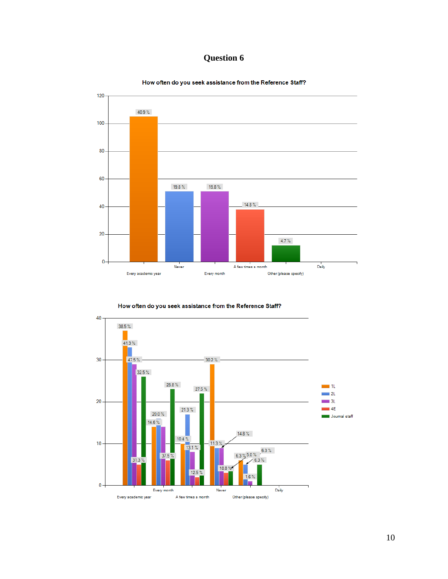

How often do you seek assistance from the Reference Staff?

How often do you seek assistance from the Reference Staff?

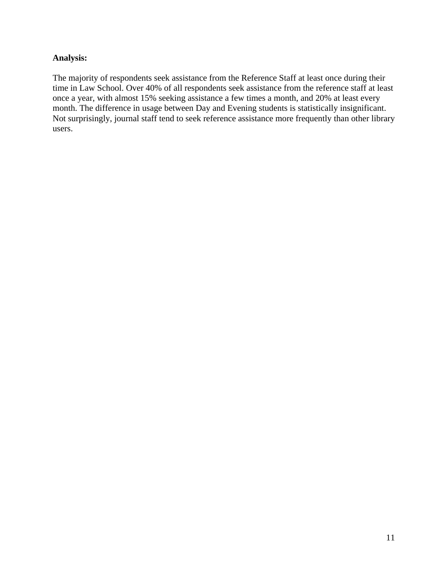The majority of respondents seek assistance from the Reference Staff at least once during their time in Law School. Over 40% of all respondents seek assistance from the reference staff at least once a year, with almost 15% seeking assistance a few times a month, and 20% at least every month. The difference in usage between Day and Evening students is statistically insignificant. Not surprisingly, journal staff tend to seek reference assistance more frequently than other library users.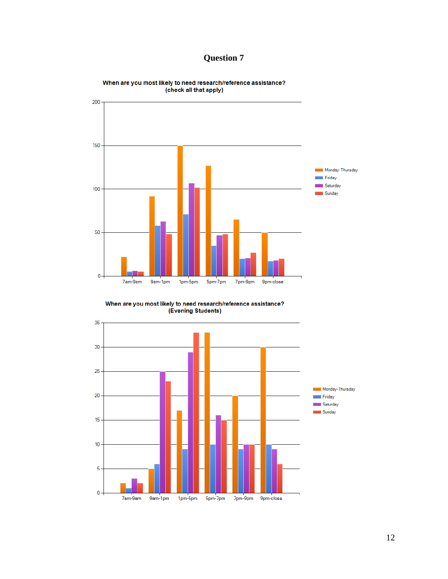



When are you most likely to need research/reference assistance? (check all that apply)

When are you most likely to need research/reference assistance? (Evening Students)

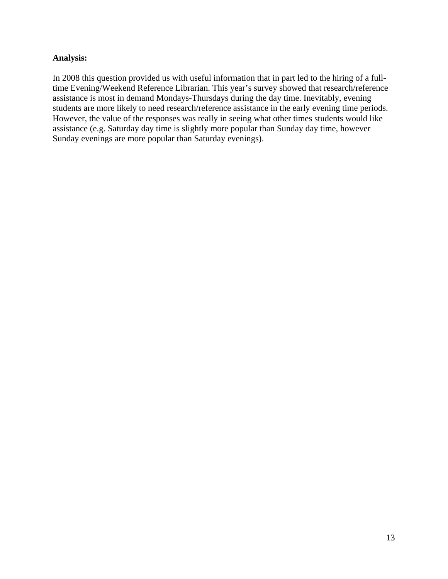In 2008 this question provided us with useful information that in part led to the hiring of a fulltime Evening/Weekend Reference Librarian. This year's survey showed that research/reference assistance is most in demand Mondays-Thursdays during the day time. Inevitably, evening students are more likely to need research/reference assistance in the early evening time periods. However, the value of the responses was really in seeing what other times students would like assistance (e.g. Saturday day time is slightly more popular than Sunday day time, however Sunday evenings are more popular than Saturday evenings).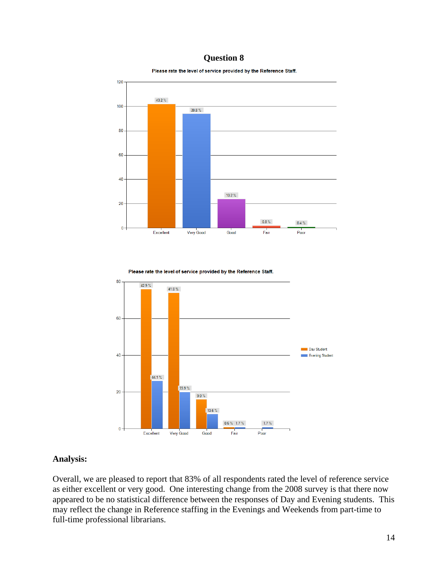Please rate the level of service provided by the Reference Staff.







### **Analysis:**

Overall, we are pleased to report that 83% of all respondents rated the level of reference service as either excellent or very good. One interesting change from the 2008 survey is that there now appeared to be no statistical difference between the responses of Day and Evening students. This may reflect the change in Reference staffing in the Evenings and Weekends from part-time to full-time professional librarians.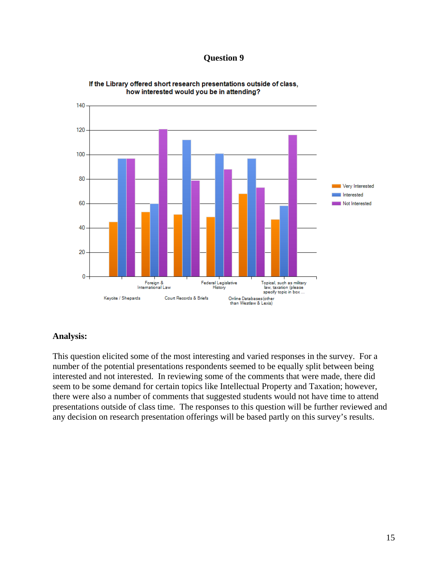

If the Library offered short research presentations outside of class, how interested would you be in attending?

### **Analysis:**

This question elicited some of the most interesting and varied responses in the survey. For a number of the potential presentations respondents seemed to be equally split between being interested and not interested. In reviewing some of the comments that were made, there did seem to be some demand for certain topics like Intellectual Property and Taxation; however, there were also a number of comments that suggested students would not have time to attend presentations outside of class time. The responses to this question will be further reviewed and any decision on research presentation offerings will be based partly on this survey's results.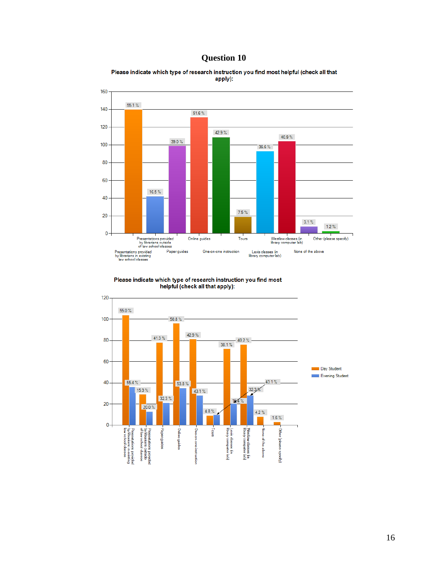



Please indicate which type of research instruction you find most helpful (check all that apply):

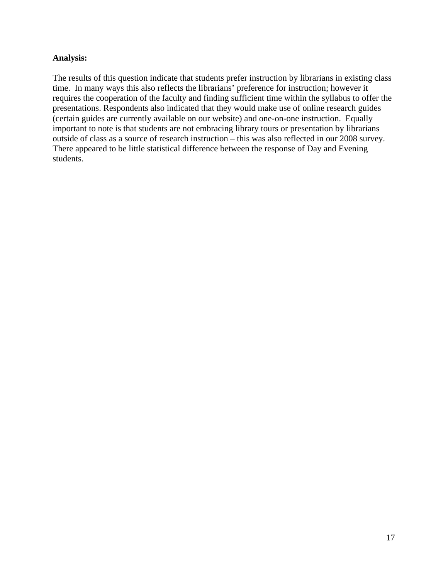The results of this question indicate that students prefer instruction by librarians in existing class time. In many ways this also reflects the librarians' preference for instruction; however it requires the cooperation of the faculty and finding sufficient time within the syllabus to offer the presentations. Respondents also indicated that they would make use of online research guides (certain guides are currently available on our website) and one-on-one instruction. Equally important to note is that students are not embracing library tours or presentation by librarians outside of class as a source of research instruction – this was also reflected in our 2008 survey. There appeared to be little statistical difference between the response of Day and Evening students.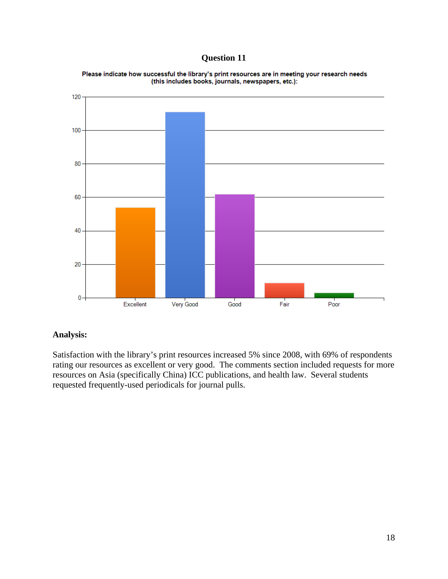

Please indicate how successful the library's print resources are in meeting your research needs (this includes books, journals, newspapers, etc.):

# **Analysis:**

Satisfaction with the library's print resources increased 5% since 2008, with 69% of respondents rating our resources as excellent or very good. The comments section included requests for more resources on Asia (specifically China) ICC publications, and health law. Several students requested frequently-used periodicals for journal pulls.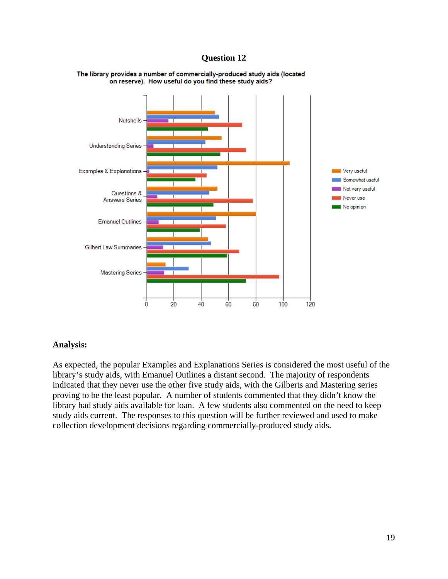

#### The library provides a number of commercially-produced study aids (located on reserve). How useful do you find these study aids?

### **Analysis:**

As expected, the popular Examples and Explanations Series is considered the most useful of the library's study aids, with Emanuel Outlines a distant second. The majority of respondents indicated that they never use the other five study aids, with the Gilberts and Mastering series proving to be the least popular. A number of students commented that they didn't know the library had study aids available for loan. A few students also commented on the need to keep study aids current. The responses to this question will be further reviewed and used to make collection development decisions regarding commercially-produced study aids.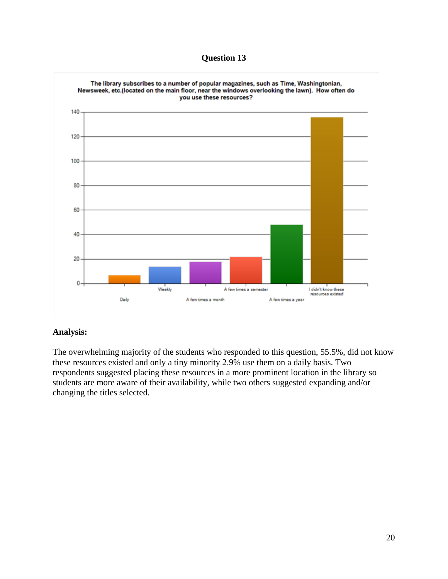

## **Analysis:**

The overwhelming majority of the students who responded to this question, 55.5%, did not know these resources existed and only a tiny minority 2.9% use them on a daily basis. Two respondents suggested placing these resources in a more prominent location in the library so students are more aware of their availability, while two others suggested expanding and/or changing the titles selected.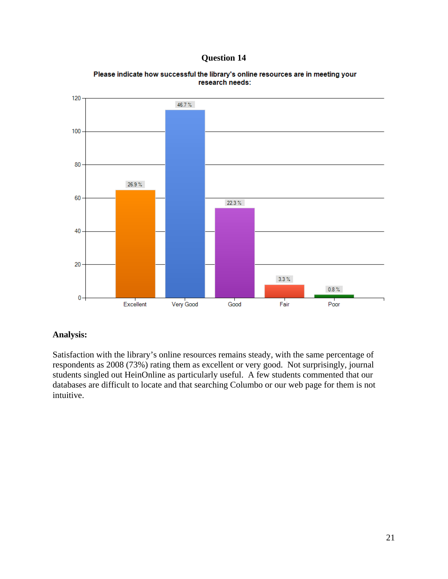

Please indicate how successful the library's online resources are in meeting your research needs:

# **Analysis:**

Satisfaction with the library's online resources remains steady, with the same percentage of respondents as 2008 (73%) rating them as excellent or very good. Not surprisingly, journal students singled out HeinOnline as particularly useful. A few students commented that our databases are difficult to locate and that searching Columbo or our web page for them is not intuitive.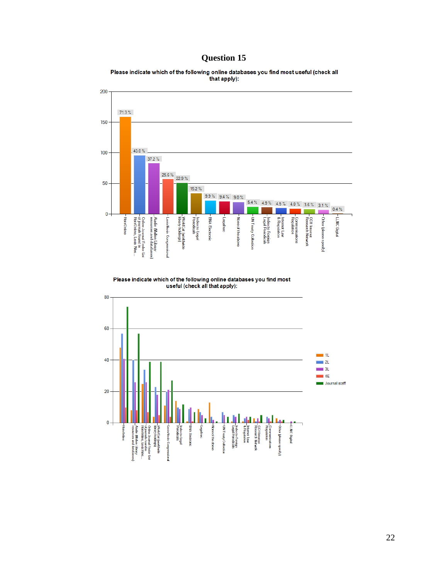Please indicate which of the following online databases you find most useful (check all<br>that apply):



Please indicate which of the following online databases you find most useful (check all that apply):

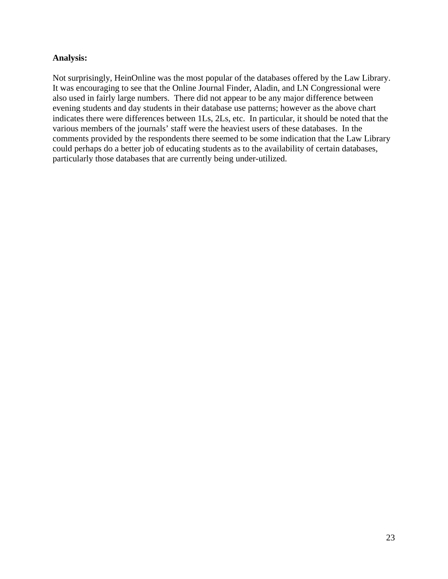Not surprisingly, HeinOnline was the most popular of the databases offered by the Law Library. It was encouraging to see that the Online Journal Finder, Aladin, and LN Congressional were also used in fairly large numbers. There did not appear to be any major difference between evening students and day students in their database use patterns; however as the above chart indicates there were differences between 1Ls, 2Ls, etc. In particular, it should be noted that the various members of the journals' staff were the heaviest users of these databases. In the comments provided by the respondents there seemed to be some indication that the Law Library could perhaps do a better job of educating students as to the availability of certain databases, particularly those databases that are currently being under-utilized.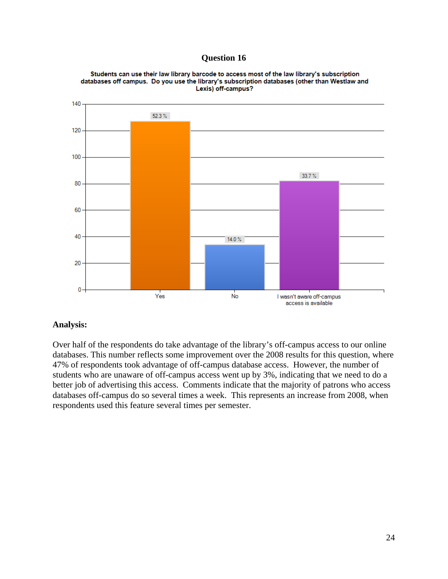

Students can use their law library barcode to access most of the law library's subscription databases off campus. Do you use the library's subscription databases (other than Westlaw and Lexis) off-campus?

## **Analysis:**

Over half of the respondents do take advantage of the library's off-campus access to our online databases. This number reflects some improvement over the 2008 results for this question, where 47% of respondents took advantage of off-campus database access. However, the number of students who are unaware of off-campus access went up by 3%, indicating that we need to do a better job of advertising this access. Comments indicate that the majority of patrons who access databases off-campus do so several times a week. This represents an increase from 2008, when respondents used this feature several times per semester.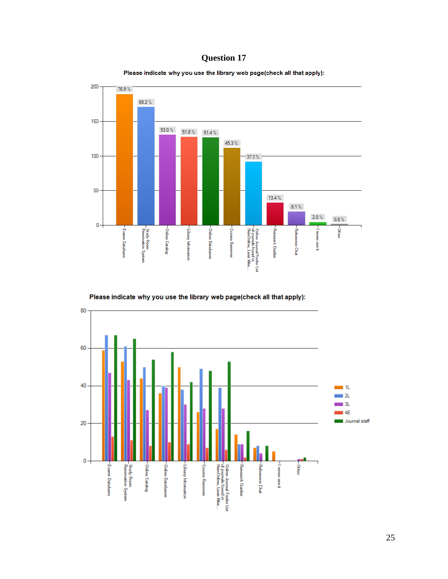





Please indicate why you use the library web page(check all that apply):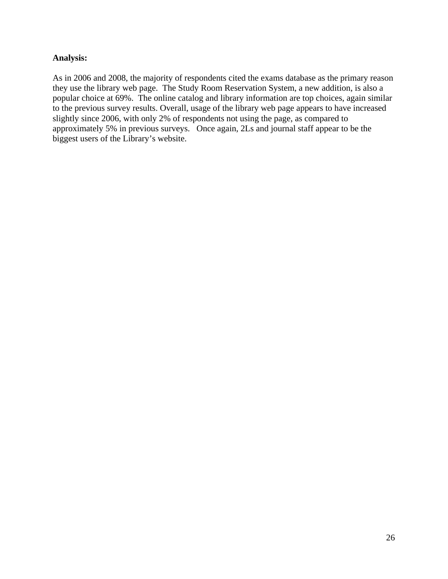As in 2006 and 2008, the majority of respondents cited the exams database as the primary reason they use the library web page. The Study Room Reservation System, a new addition, is also a popular choice at 69%. The online catalog and library information are top choices, again similar to the previous survey results. Overall, usage of the library web page appears to have increased slightly since 2006, with only 2% of respondents not using the page, as compared to approximately 5% in previous surveys. Once again, 2Ls and journal staff appear to be the biggest users of the Library's website.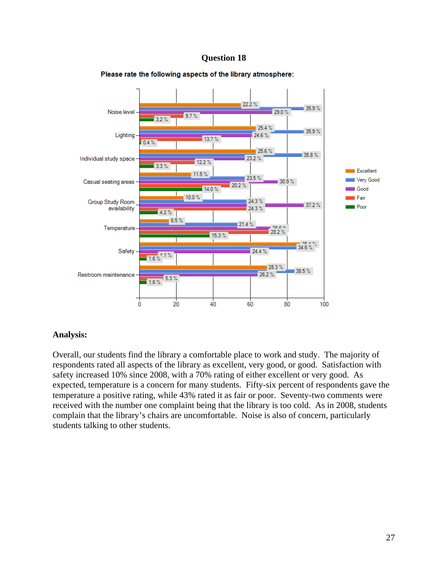

#### Please rate the following aspects of the library atmosphere:

## **Analysis:**

Overall, our students find the library a comfortable place to work and study. The majority of respondents rated all aspects of the library as excellent, very good, or good. Satisfaction with safety increased 10% since 2008, with a 70% rating of either excellent or very good. As expected, temperature is a concern for many students. Fifty-six percent of respondents gave the temperature a positive rating, while 43% rated it as fair or poor. Seventy-two comments were received with the number one complaint being that the library is too cold. As in 2008, students complain that the library's chairs are uncomfortable. Noise is also of concern, particularly students talking to other students.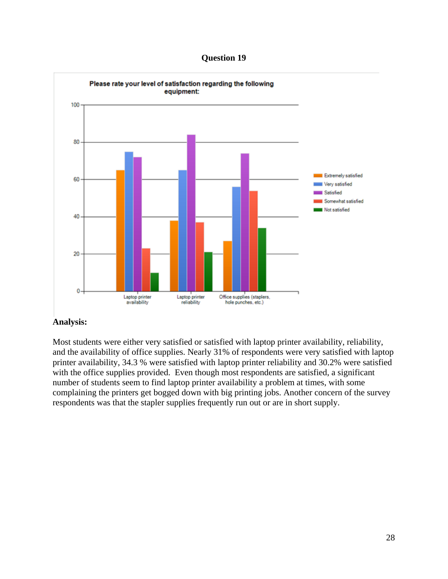**Question 19**



Most students were either very satisfied or satisfied with laptop printer availability, reliability, and the availability of office supplies. Nearly 31% of respondents were very satisfied with laptop printer availability, 34.3 % were satisfied with laptop printer reliability and 30.2% were satisfied with the office supplies provided. Even though most respondents are satisfied, a significant number of students seem to find laptop printer availability a problem at times, with some complaining the printers get bogged down with big printing jobs. Another concern of the survey respondents was that the stapler supplies frequently run out or are in short supply.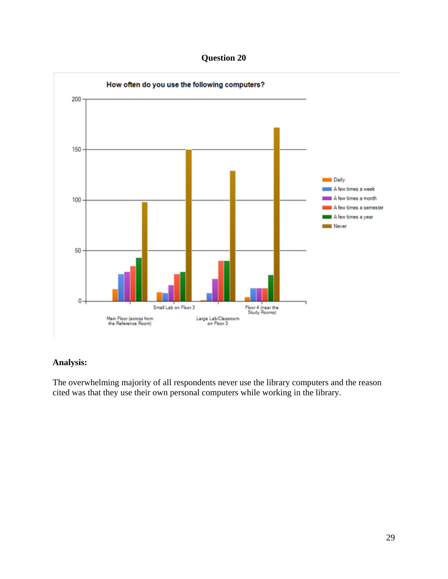**Question 20** 



The overwhelming majority of all respondents never use the library computers and the reason cited was that they use their own personal computers while working in the library.